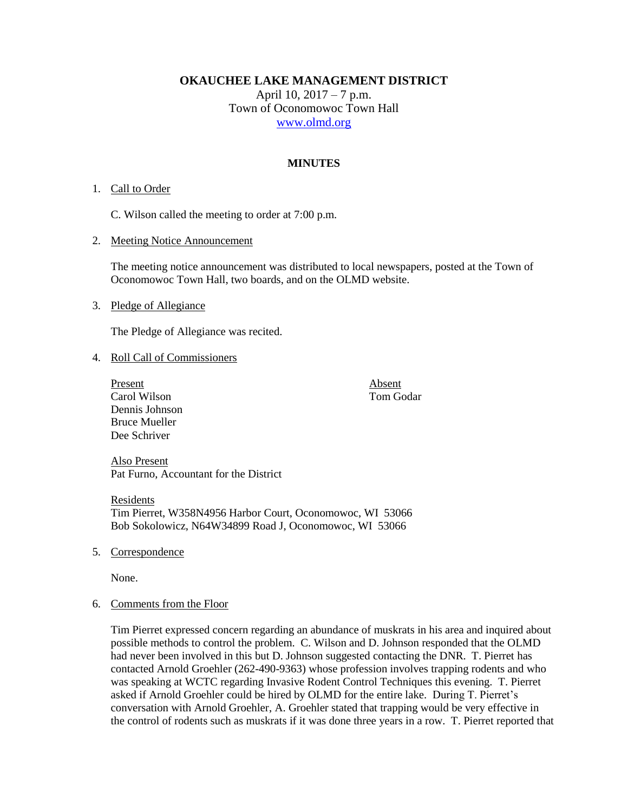**OKAUCHEE LAKE MANAGEMENT DISTRICT**

April 10, 2017 – 7 p.m. Town of Oconomowoc Town Hall [www.olmd.org](http://www.olmd.org/)

# **MINUTES**

### 1. Call to Order

C. Wilson called the meeting to order at 7:00 p.m.

2. Meeting Notice Announcement

The meeting notice announcement was distributed to local newspapers, posted at the Town of Oconomowoc Town Hall, two boards, and on the OLMD website.

#### 3. Pledge of Allegiance

The Pledge of Allegiance was recited.

#### 4. Roll Call of Commissioners

Present Absent Carol Wilson Tom Godar Dennis Johnson Bruce Mueller Dee Schriver

Also Present Pat Furno, Accountant for the District

Residents Tim Pierret, W358N4956 Harbor Court, Oconomowoc, WI 53066 Bob Sokolowicz, N64W34899 Road J, Oconomowoc, WI 53066

5. Correspondence

None.

#### 6. Comments from the Floor

Tim Pierret expressed concern regarding an abundance of muskrats in his area and inquired about possible methods to control the problem. C. Wilson and D. Johnson responded that the OLMD had never been involved in this but D. Johnson suggested contacting the DNR. T. Pierret has contacted Arnold Groehler (262-490-9363) whose profession involves trapping rodents and who was speaking at WCTC regarding Invasive Rodent Control Techniques this evening. T. Pierret asked if Arnold Groehler could be hired by OLMD for the entire lake. During T. Pierret's conversation with Arnold Groehler, A. Groehler stated that trapping would be very effective in the control of rodents such as muskrats if it was done three years in a row. T. Pierret reported that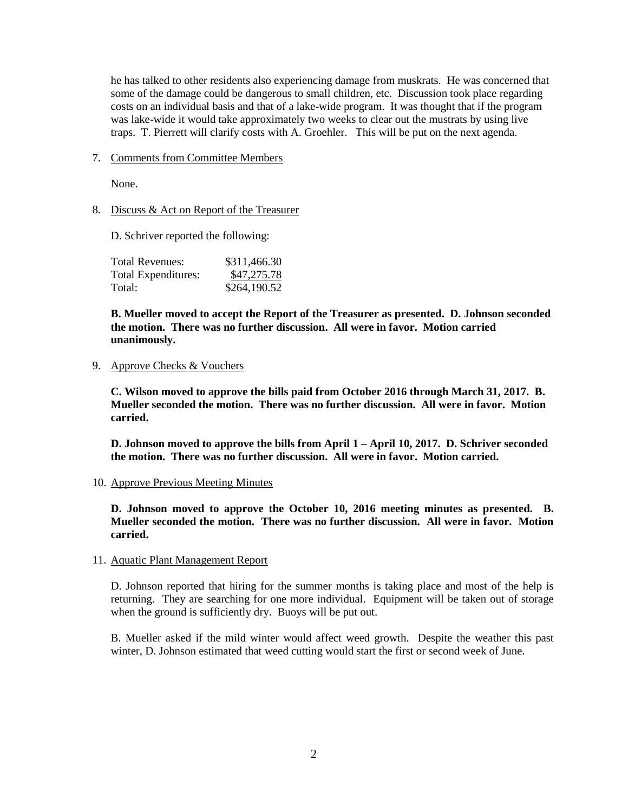he has talked to other residents also experiencing damage from muskrats. He was concerned that some of the damage could be dangerous to small children, etc. Discussion took place regarding costs on an individual basis and that of a lake-wide program. It was thought that if the program was lake-wide it would take approximately two weeks to clear out the mustrats by using live traps. T. Pierrett will clarify costs with A. Groehler. This will be put on the next agenda.

7. Comments from Committee Members

None.

8. Discuss & Act on Report of the Treasurer

D. Schriver reported the following:

| Total Revenues:     | \$311,466.30 |
|---------------------|--------------|
| Total Expenditures: | \$47,275.78  |
| Total:              | \$264,190.52 |

**B. Mueller moved to accept the Report of the Treasurer as presented. D. Johnson seconded the motion. There was no further discussion. All were in favor. Motion carried unanimously.**

9. Approve Checks & Vouchers

**C. Wilson moved to approve the bills paid from October 2016 through March 31, 2017. B. Mueller seconded the motion. There was no further discussion. All were in favor. Motion carried.**

**D. Johnson moved to approve the bills from April 1 – April 10, 2017. D. Schriver seconded the motion. There was no further discussion. All were in favor. Motion carried.**

10. Approve Previous Meeting Minutes

**D. Johnson moved to approve the October 10, 2016 meeting minutes as presented. B. Mueller seconded the motion. There was no further discussion. All were in favor. Motion carried.**

11. Aquatic Plant Management Report

D. Johnson reported that hiring for the summer months is taking place and most of the help is returning. They are searching for one more individual. Equipment will be taken out of storage when the ground is sufficiently dry. Buoys will be put out.

B. Mueller asked if the mild winter would affect weed growth. Despite the weather this past winter, D. Johnson estimated that weed cutting would start the first or second week of June.